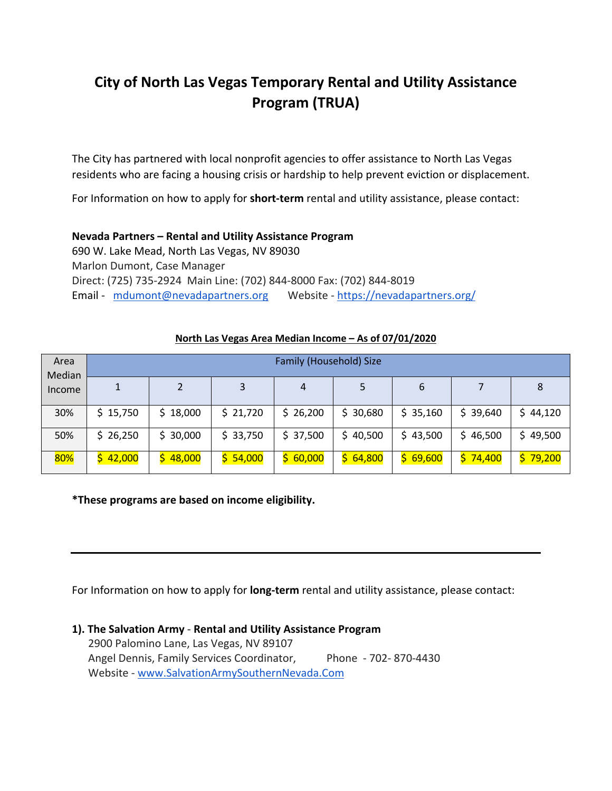# **City of North Las Vegas Temporary Rental and Utility Assistance Program (TRUA)**

The City has partnered with local nonprofit agencies to offer assistance to North Las Vegas residents who are facing a housing crisis or hardship to help prevent eviction or displacement.

For Information on how to apply for **short-term** rental and utility assistance, please contact:

## **Nevada Partners – Rental and Utility Assistance Program**

690 W. Lake Mead, North Las Vegas, NV 89030 Marlon Dumont, Case Manager Direct: (725) 735-2924 Main Line: (702) 844-8000 Fax: (702) 844-8019 Email - mdumont@nevadapartners.org Website - https://nevadapartners.org/

| Area<br>Median<br>Income | Family (Household) Size |          |          |              |          |          |              |          |  |  |
|--------------------------|-------------------------|----------|----------|--------------|----------|----------|--------------|----------|--|--|
|                          |                         |          | 3        | 4            |          | 6        |              | 8        |  |  |
| 30%                      | \$15,750                | \$18,000 | \$21,720 | \$26,200     | \$30,680 | \$35,160 | \$39,640     | \$44,120 |  |  |
| 50%                      | \$26,250                | \$30,000 | \$33,750 | \$37,500     | \$40,500 | \$43,500 | 46,500<br>S. | \$49,500 |  |  |
| 80%                      | 42,000                  | \$48,000 | \$54,000 | 60,000<br>S. | \$64,800 | \$69,600 | 74,400<br>S. | \$79,200 |  |  |

### **North Las Vegas Area Median Income – As of 07/01/2020**

**\*These programs are based on income eligibility.**

For Information on how to apply for **long-term** rental and utility assistance, please contact:

# **1). The Salvation Army** - **Rental and Utility Assistance Program**

 2900 Palomino Lane, Las Vegas, NV 89107 Angel Dennis, Family Services Coordinator, Phone - 702-870-4430 Website - www.SalvationArmySouthernNevada.Com